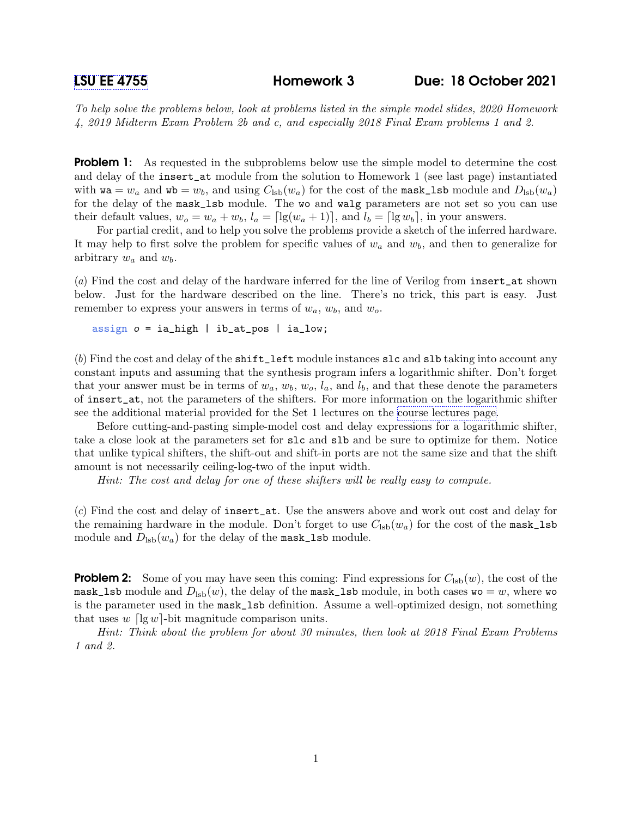## [LSU EE 4755](https://www.ece.lsu.edu/koppel/v/) Homework 3 Due: 18 October 2021

To help solve the problems below, look at problems listed in the simple model slides, 2020 Homework 4, 2019 Midterm Exam Problem 2b and c, and especially 2018 Final Exam problems 1 and 2.

**Problem 1:** As requested in the subproblems below use the simple model to determine the cost and delay of the insert\_at module from the solution to Homework 1 (see last page) instantiated with  $\mathbf{wa} = w_a$  and  $\mathbf{wb} = w_b$ , and using  $C_{\text{lsb}}(w_a)$  for the cost of the mask\_1sb module and  $D_{\text{lsb}}(w_a)$ for the delay of the mask\_lsb module. The wo and walg parameters are not set so you can use their default values,  $w_o = w_a + w_b$ ,  $l_a = \lceil \lg(w_a + 1) \rceil$ , and  $l_b = \lceil \lg w_b \rceil$ , in your answers.

For partial credit, and to help you solve the problems provide a sketch of the inferred hardware. It may help to first solve the problem for specific values of  $w_a$  and  $w_b$ , and then to generalize for arbitrary  $w_a$  and  $w_b$ .

(a) Find the cost and delay of the hardware inferred for the line of Verilog from insert\_at shown below. Just for the hardware described on the line. There's no trick, this part is easy. Just remember to express your answers in terms of  $w_a$ ,  $w_b$ , and  $w_o$ .

assign  $o = ia_{high}$  | ib\_at\_pos | ia\_low;

(b) Find the cost and delay of the shift\_left module instances slc and slb taking into account any constant inputs and assuming that the synthesis program infers a logarithmic shifter. Don't forget that your answer must be in terms of  $w_a, w_b, w_o, l_a$ , and  $l_b$ , and that these denote the parameters of insert\_at, not the parameters of the shifters. For more information on the logarithmic shifter see the additional material provided for the Set 1 lectures on the [course lectures page.](https://www.ece.lsu.edu/koppel/v/ln.html)

Before cutting-and-pasting simple-model cost and delay expressions for a logarithmic shifter, take a close look at the parameters set for slc and slb and be sure to optimize for them. Notice that unlike typical shifters, the shift-out and shift-in ports are not the same size and that the shift amount is not necessarily ceiling-log-two of the input width.

Hint: The cost and delay for one of these shifters will be really easy to compute.

(c) Find the cost and delay of insert\_at. Use the answers above and work out cost and delay for the remaining hardware in the module. Don't forget to use  $C_{\text{lsb}}(w_a)$  for the cost of the mask\_lsb module and  $D_{\text{lsb}}(w_a)$  for the delay of the mask\_lsb module.

**Problem 2:** Some of you may have seen this coming: Find expressions for  $C_{\text{lsb}}(w)$ , the cost of the mask\_lsb module and  $D_{\text{lsb}}(w)$ , the delay of the mask\_lsb module, in both cases wo = w, where wo is the parameter used in the mask\_lsb definition. Assume a well-optimized design, not something that uses  $w \log w$ -bit magnitude comparison units.

Hint: Think about the problem for about 30 minutes, then look at 2018 Final Exam Problems 1 and 2.